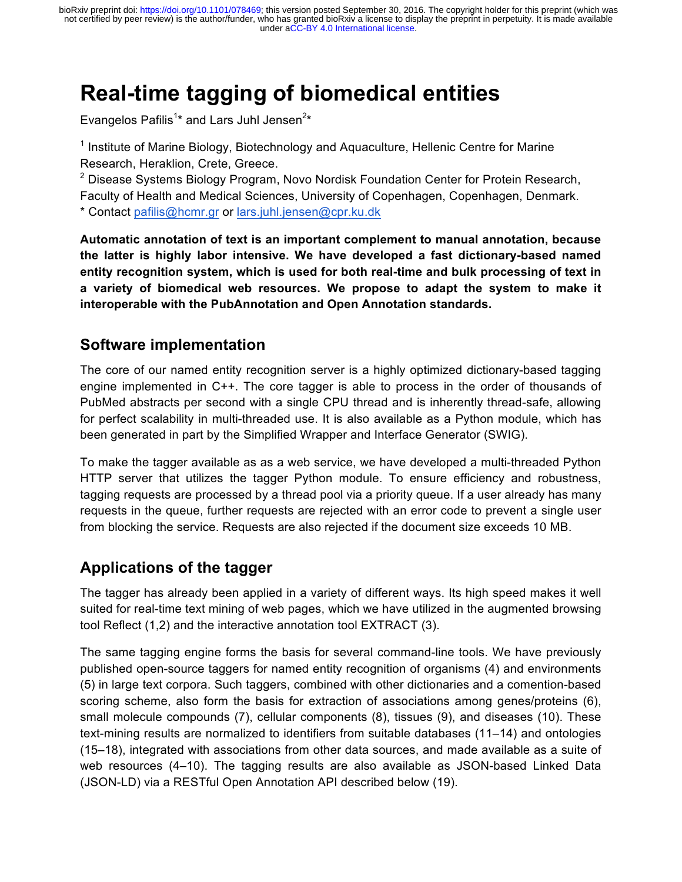under [aCC-BY 4.0 International license.](http://creativecommons.org/licenses/by/4.0/) not certified by peer review) is the author/funder, who has granted bioRxiv a license to display the preprint in perpetuity. It is made available bioRxiv preprint doi: [https://doi.org/10.1101/078469;](https://doi.org/10.1101/078469) this version posted September 30, 2016. The copyright holder for this preprint (which was

# **Real-time tagging of biomedical entities**

Evangelos Pafilis<sup>1\*</sup> and Lars Juhl Jensen<sup>2\*</sup>

 $1$  Institute of Marine Biology, Biotechnology and Aguaculture, Hellenic Centre for Marine Research, Heraklion, Crete, Greece.

<sup>2</sup> Disease Systems Biology Program, Novo Nordisk Foundation Center for Protein Research, Faculty of Health and Medical Sciences, University of Copenhagen, Copenhagen, Denmark.

\* Contact pafilis@hcmr.gr or lars.juhl.jensen@cpr.ku.dk

**Automatic annotation of text is an important complement to manual annotation, because the latter is highly labor intensive. We have developed a fast dictionary-based named entity recognition system, which is used for both real-time and bulk processing of text in a variety of biomedical web resources. We propose to adapt the system to make it interoperable with the PubAnnotation and Open Annotation standards.**

#### **Software implementation**

The core of our named entity recognition server is a highly optimized dictionary-based tagging engine implemented in C++. The core tagger is able to process in the order of thousands of PubMed abstracts per second with a single CPU thread and is inherently thread-safe, allowing for perfect scalability in multi-threaded use. It is also available as a Python module, which has been generated in part by the Simplified Wrapper and Interface Generator (SWIG).

To make the tagger available as as a web service, we have developed a multi-threaded Python HTTP server that utilizes the tagger Python module. To ensure efficiency and robustness, tagging requests are processed by a thread pool via a priority queue. If a user already has many requests in the queue, further requests are rejected with an error code to prevent a single user from blocking the service. Requests are also rejected if the document size exceeds 10 MB.

## **Applications of the tagger**

The tagger has already been applied in a variety of different ways. Its high speed makes it well suited for real-time text mining of web pages, which we have utilized in the augmented browsing tool Reflect (1,2) and the interactive annotation tool EXTRACT (3).

The same tagging engine forms the basis for several command-line tools. We have previously published open-source taggers for named entity recognition of organisms (4) and environments (5) in large text corpora. Such taggers, combined with other dictionaries and a comention-based scoring scheme, also form the basis for extraction of associations among genes/proteins (6), small molecule compounds (7), cellular components (8), tissues (9), and diseases (10). These text-mining results are normalized to identifiers from suitable databases (11–14) and ontologies (15–18), integrated with associations from other data sources, and made available as a suite of web resources (4–10). The tagging results are also available as JSON-based Linked Data (JSON-LD) via a RESTful Open Annotation API described below (19).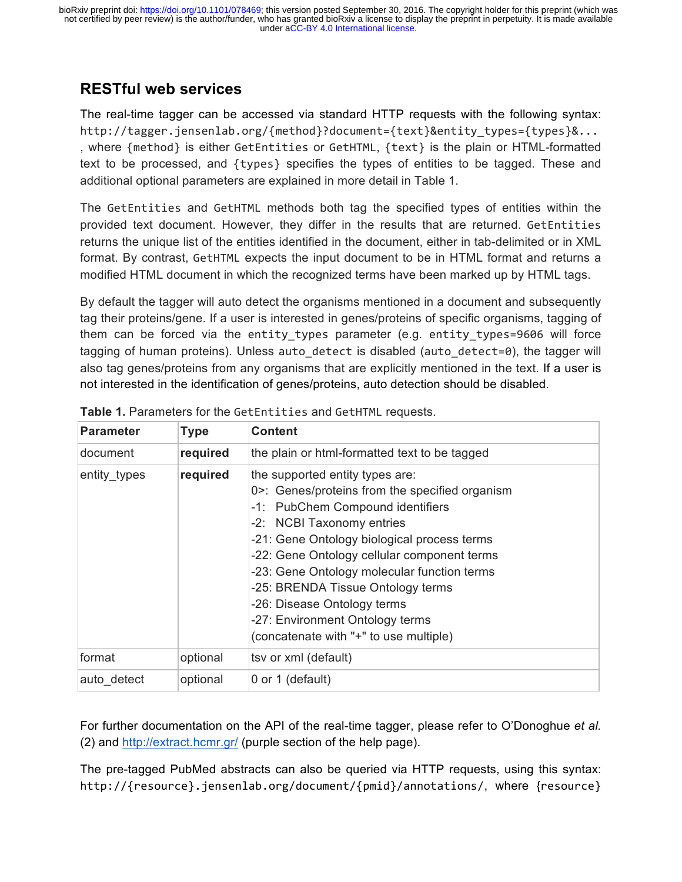#### **RESTful web services**

The real-time tagger can be accessed via standard HTTP requests with the following syntax: http://tagger.jensenlab.org/{method}?document={text}&entity\_types={types}&... , where {method} is either GetEntities or GetHTML, {text} is the plain or HTML-formatted text to be processed, and {types} specifies the types of entities to be tagged. These and additional optional parameters are explained in more detail in Table 1.

The GetEntities and GetHTML methods both tag the specified types of entities within the provided text document. However, they differ in the results that are returned. GetEntities returns the unique list of the entities identified in the document, either in tab-delimited or in XML format. By contrast, GetHTML expects the input document to be in HTML format and returns a modified HTML document in which the recognized terms have been marked up by HTML tags.

By default the tagger will auto detect the organisms mentioned in a document and subsequently tag their proteins/gene. If a user is interested in genes/proteins of specific organisms, tagging of them can be forced via the entity types parameter (e.g. entity types=9606 will force tagging of human proteins). Unless auto detect is disabled (auto detect=0), the tagger will also tag genes/proteins from any organisms that are explicitly mentioned in the text. If a user is not interested in the identification of genes/proteins, auto detection should be disabled.

| <b>Parameter</b> | <b>Type</b> | <b>Content</b>                                                                                                                                                                                                                                                                                                                                                                                                                                   |  |  |  |
|------------------|-------------|--------------------------------------------------------------------------------------------------------------------------------------------------------------------------------------------------------------------------------------------------------------------------------------------------------------------------------------------------------------------------------------------------------------------------------------------------|--|--|--|
| document         | required    | the plain or html-formatted text to be tagged                                                                                                                                                                                                                                                                                                                                                                                                    |  |  |  |
| entity_types     | required    | the supported entity types are:<br>0>: Genes/proteins from the specified organism<br>-1: PubChem Compound identifiers<br>-2: NCBI Taxonomy entries<br>-21: Gene Ontology biological process terms<br>-22: Gene Ontology cellular component terms<br>-23: Gene Ontology molecular function terms<br>-25: BRENDA Tissue Ontology terms<br>-26: Disease Ontology terms<br>-27: Environment Ontology terms<br>(concatenate with "+" to use multiple) |  |  |  |
| format           | optional    | tsv or xml (default)                                                                                                                                                                                                                                                                                                                                                                                                                             |  |  |  |
| auto detect      | optional    | 0 or 1 (default)                                                                                                                                                                                                                                                                                                                                                                                                                                 |  |  |  |

|  |  | Table 1. Parameters for the GetEntities and GetHTML requests. |  |  |  |  |  |
|--|--|---------------------------------------------------------------|--|--|--|--|--|
|--|--|---------------------------------------------------------------|--|--|--|--|--|

For further documentation on the API of the real-time tagger, please refer to O'Donoghue *et al.* (2) and http://extract.hcmr.gr/ (purple section of the help page).

The pre-tagged PubMed abstracts can also be queried via HTTP requests, using this syntax: http://{resource}.jensenlab.org/document/{pmid}/annotations/, where {resource}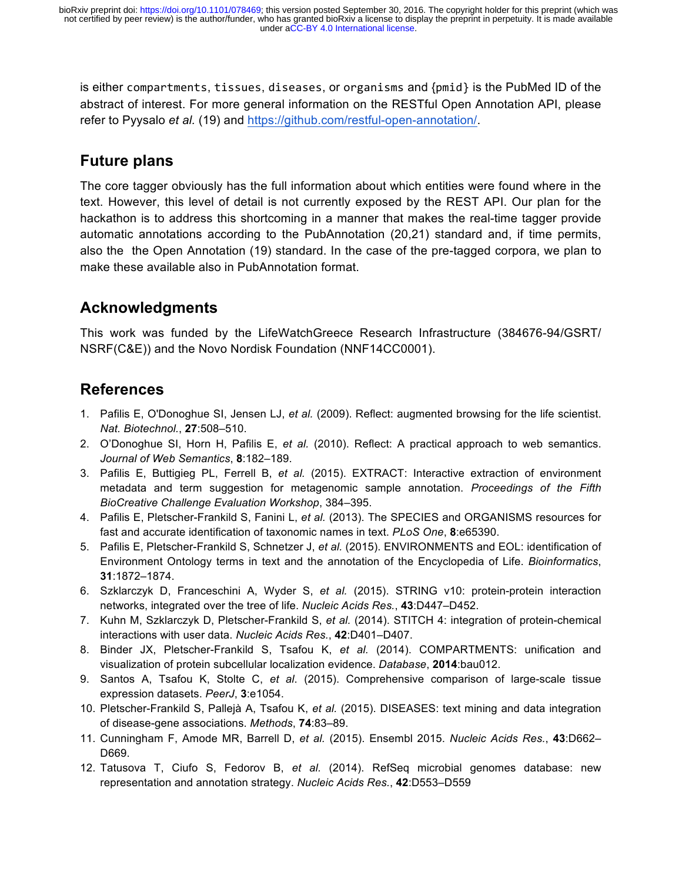is either compartments, tissues, diseases, or organisms and {pmid} is the PubMed ID of the abstract of interest. For more general information on the RESTful Open Annotation API, please refer to Pyysalo *et al.* (19) and https://github.com/restful-open-annotation/.

# **Future plans**

The core tagger obviously has the full information about which entities were found where in the text. However, this level of detail is not currently exposed by the REST API. Our plan for the hackathon is to address this shortcoming in a manner that makes the real-time tagger provide automatic annotations according to the PubAnnotation (20,21) standard and, if time permits, also the the Open Annotation (19) standard. In the case of the pre-tagged corpora, we plan to make these available also in PubAnnotation format.

# **Acknowledgments**

This work was funded by the LifeWatchGreece Research Infrastructure (384676-94/GSRT/ NSRF(C&E)) and the Novo Nordisk Foundation (NNF14CC0001).

## **References**

- 1. Pafilis E, O'Donoghue SI, Jensen LJ, *et al.* (2009). Reflect: augmented browsing for the life scientist. *Nat. Biotechnol.*, **27**:508–510.
- 2. O'Donoghue SI, Horn H, Pafilis E, *et al.* (2010). Reflect: A practical approach to web semantics. *Journal of Web Semantics*, **8**:182–189.
- 3. Pafilis E, Buttigieg PL, Ferrell B, *et al.* (2015). EXTRACT: Interactive extraction of environment metadata and term suggestion for metagenomic sample annotation. *Proceedings of the Fifth BioCreative Challenge Evaluation Workshop*, 384–395.
- 4. Pafilis E, Pletscher-Frankild S, Fanini L, *et al.* (2013). The SPECIES and ORGANISMS resources for fast and accurate identification of taxonomic names in text. *PLoS One*, **8**:e65390.
- 5. Pafilis E, Pletscher-Frankild S, Schnetzer J, *et al.* (2015). ENVIRONMENTS and EOL: identification of Environment Ontology terms in text and the annotation of the Encyclopedia of Life. *Bioinformatics*, **31**:1872–1874.
- 6. Szklarczyk D, Franceschini A, Wyder S, *et al.* (2015). STRING v10: protein-protein interaction networks, integrated over the tree of life. *Nucleic Acids Res.*, **43**:D447–D452.
- 7. Kuhn M, Szklarczyk D, Pletscher-Frankild S, *et al.* (2014). STITCH 4: integration of protein-chemical interactions with user data. *Nucleic Acids Res.*, **42**:D401–D407.
- 8. Binder JX, Pletscher-Frankild S, Tsafou K, *et al.* (2014). COMPARTMENTS: unification and visualization of protein subcellular localization evidence. *Database*, **2014**:bau012.
- 9. Santos A, Tsafou K, Stolte C, *et al*. (2015). Comprehensive comparison of large-scale tissue expression datasets. *PeerJ*, **3**:e1054.
- 10. Pletscher-Frankild S, Pallejà A, Tsafou K, *et al.* (2015). DISEASES: text mining and data integration of disease-gene associations. *Methods*, **74**:83–89.
- 11. Cunningham F, Amode MR, Barrell D, *et al.* (2015). Ensembl 2015. *Nucleic Acids Res.*, **43**:D662– D669.
- 12. Tatusova T, Ciufo S, Fedorov B, *et al.* (2014). RefSeq microbial genomes database: new representation and annotation strategy. *Nucleic Acids Res.*, **42**:D553–D559